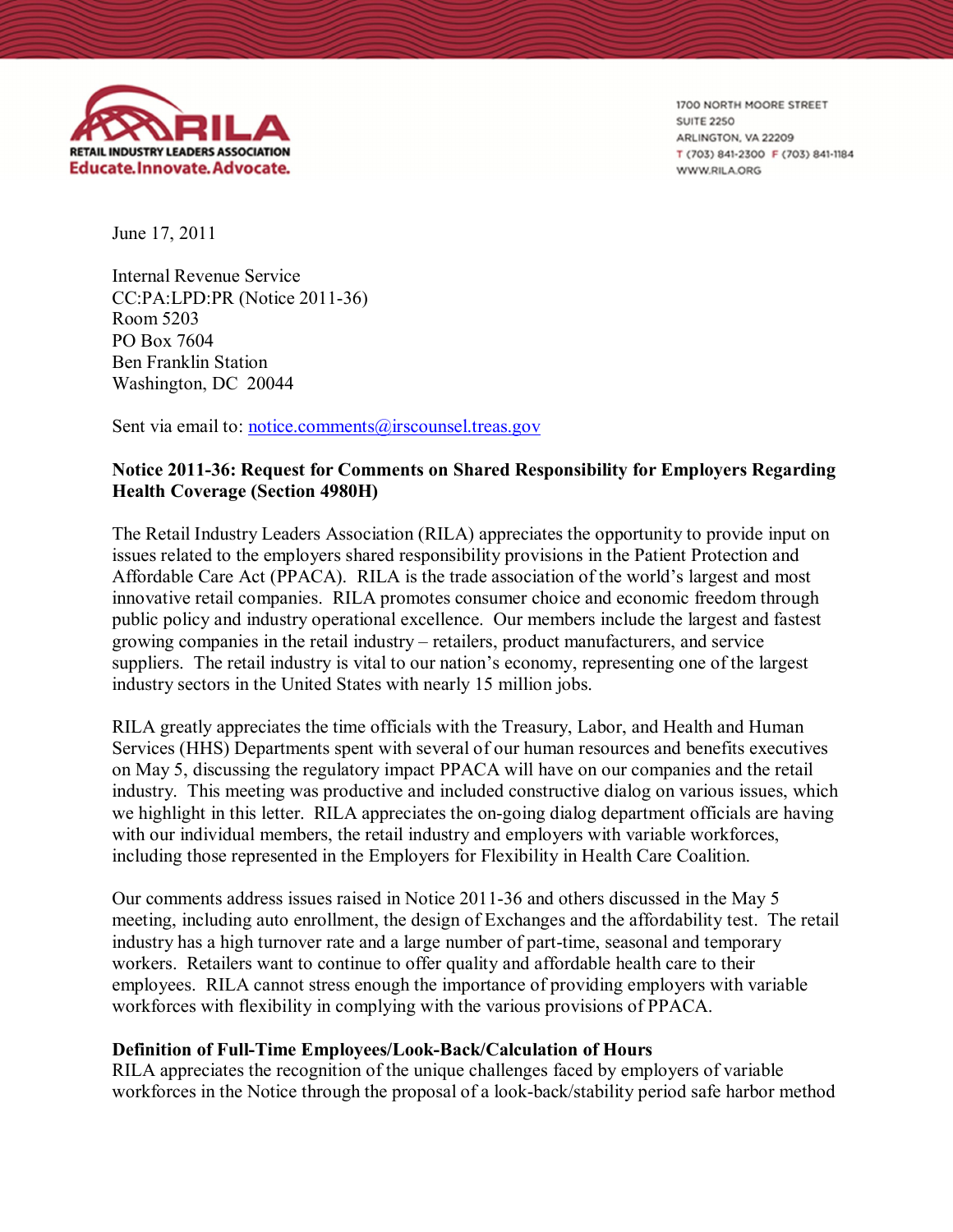

1700 NORTH MOORE STREET **SUITE 2250** ARLINGTON, VA 22209 T (703) 841-2300 F (703) 841-1184 **WWW.RILA.ORG** 

June 17, 2011

Internal Revenue Service CC:PA:LPD:PR (Notice 2011-36) Room 5203 PO Box 7604 Ben Franklin Station Washington, DC 20044

Sent via email to: notice.comments@irscounsel.treas.gov

# **Notice 2011-36: Request for Comments on Shared Responsibility for Employers Regarding Health Coverage (Section 4980H)**

The Retail Industry Leaders Association (RILA) appreciates the opportunity to provide input on issues related to the employers shared responsibility provisions in the Patient Protection and Affordable Care Act (PPACA). RILA is the trade association of the world's largest and most innovative retail companies. RILA promotes consumer choice and economic freedom through public policy and industry operational excellence. Our members include the largest and fastest growing companies in the retail industry – retailers, product manufacturers, and service suppliers. The retail industry is vital to our nation's economy, representing one of the largest industry sectors in the United States with nearly 15 million jobs.

RILA greatly appreciates the time officials with the Treasury, Labor, and Health and Human Services (HHS) Departments spent with several of our human resources and benefits executives on May 5, discussing the regulatory impact PPACA will have on our companies and the retail industry. This meeting was productive and included constructive dialog on various issues, which we highlight in this letter. RILA appreciates the on-going dialog department officials are having with our individual members, the retail industry and employers with variable workforces, including those represented in the Employers for Flexibility in Health Care Coalition.

Our comments address issues raised in Notice 2011-36 and others discussed in the May 5 meeting, including auto enrollment, the design of Exchanges and the affordability test. The retail industry has a high turnover rate and a large number of part-time, seasonal and temporary workers. Retailers want to continue to offer quality and affordable health care to their employees. RILA cannot stress enough the importance of providing employers with variable workforces with flexibility in complying with the various provisions of PPACA.

# **Definition of Full-Time Employees/Look-Back/Calculation of Hours**

RILA appreciates the recognition of the unique challenges faced by employers of variable workforces in the Notice through the proposal of a look-back/stability period safe harbor method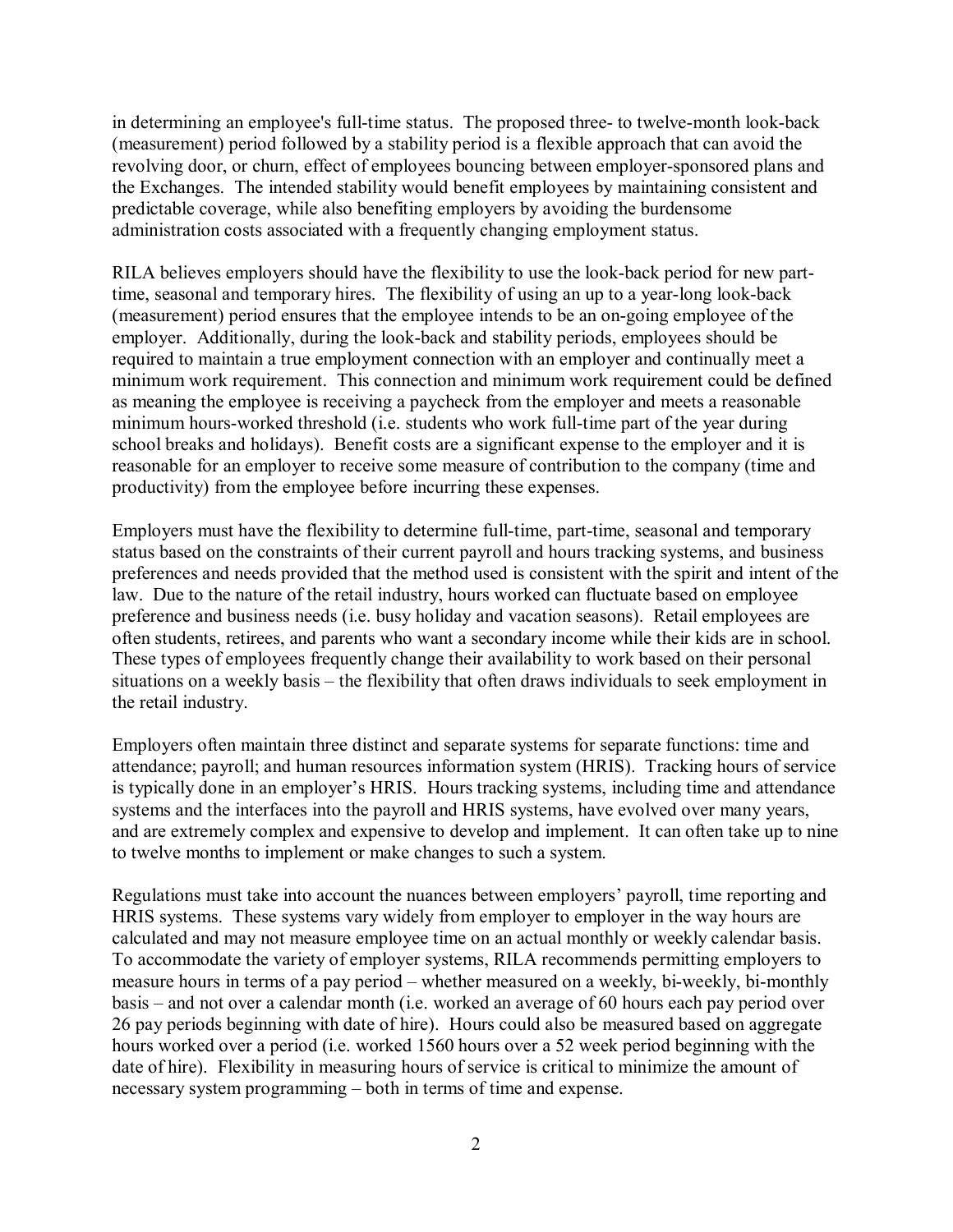in determining an employee's full-time status. The proposed three- to twelve-month look-back (measurement) period followed by a stability period is a flexible approach that can avoid the revolving door, or churn, effect of employees bouncing between employer-sponsored plans and the Exchanges. The intended stability would benefit employees by maintaining consistent and predictable coverage, while also benefiting employers by avoiding the burdensome administration costs associated with a frequently changing employment status.

RILA believes employers should have the flexibility to use the look-back period for new parttime, seasonal and temporary hires. The flexibility of using an up to a year-long look-back (measurement) period ensures that the employee intends to be an on-going employee of the employer. Additionally, during the look-back and stability periods, employees should be required to maintain a true employment connection with an employer and continually meet a minimum work requirement. This connection and minimum work requirement could be defined as meaning the employee is receiving a paycheck from the employer and meets a reasonable minimum hours-worked threshold (i.e. students who work full-time part of the year during school breaks and holidays). Benefit costs are a significant expense to the employer and it is reasonable for an employer to receive some measure of contribution to the company (time and productivity) from the employee before incurring these expenses.

Employers must have the flexibility to determine full-time, part-time, seasonal and temporary status based on the constraints of their current payroll and hours tracking systems, and business preferences and needs provided that the method used is consistent with the spirit and intent of the law. Due to the nature of the retail industry, hours worked can fluctuate based on employee preference and business needs (i.e. busy holiday and vacation seasons). Retail employees are often students, retirees, and parents who want a secondary income while their kids are in school. These types of employees frequently change their availability to work based on their personal situations on a weekly basis – the flexibility that often draws individuals to seek employment in the retail industry.

Employers often maintain three distinct and separate systems for separate functions: time and attendance; payroll; and human resources information system (HRIS). Tracking hours of service is typically done in an employer's HRIS. Hours tracking systems, including time and attendance systems and the interfaces into the payroll and HRIS systems, have evolved over many years, and are extremely complex and expensive to develop and implement. It can often take up to nine to twelve months to implement or make changes to such a system.

Regulations must take into account the nuances between employers' payroll, time reporting and HRIS systems. These systems vary widely from employer to employer in the way hours are calculated and may not measure employee time on an actual monthly or weekly calendar basis. To accommodate the variety of employer systems, RILA recommends permitting employers to measure hours in terms of a pay period – whether measured on a weekly, bi-weekly, bi-monthly basis – and not over a calendar month (i.e. worked an average of 60 hours each pay period over 26 pay periods beginning with date of hire). Hours could also be measured based on aggregate hours worked over a period (i.e. worked 1560 hours over a 52 week period beginning with the date of hire). Flexibility in measuring hours of service is critical to minimize the amount of necessary system programming – both in terms of time and expense.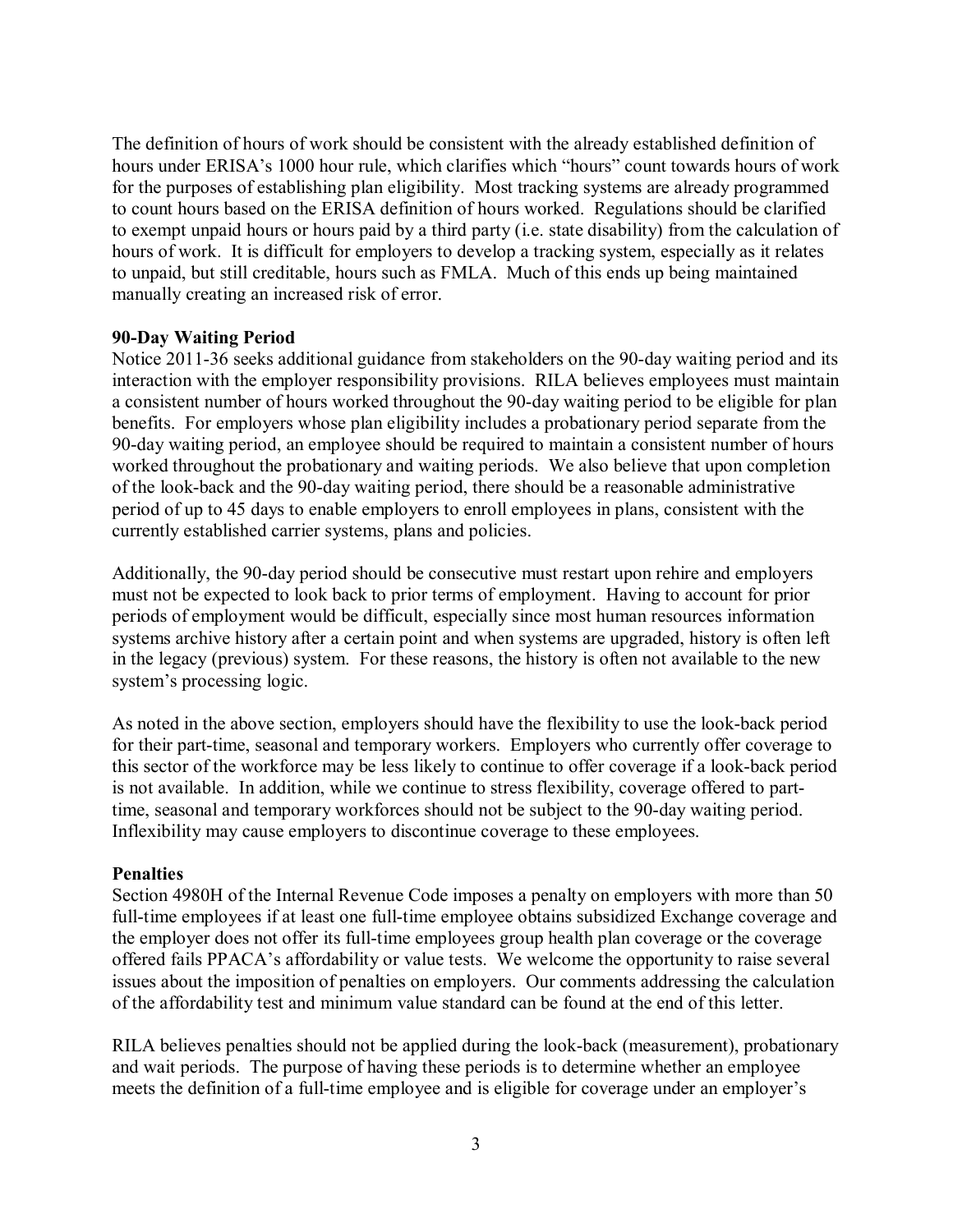The definition of hours of work should be consistent with the already established definition of hours under ERISA's 1000 hour rule, which clarifies which "hours" count towards hours of work for the purposes of establishing plan eligibility. Most tracking systems are already programmed to count hours based on the ERISA definition of hours worked. Regulations should be clarified to exempt unpaid hours or hours paid by a third party (i.e. state disability) from the calculation of hours of work. It is difficult for employers to develop a tracking system, especially as it relates to unpaid, but still creditable, hours such as FMLA. Much of this ends up being maintained manually creating an increased risk of error.

## **90-Day Waiting Period**

Notice 2011-36 seeks additional guidance from stakeholders on the 90-day waiting period and its interaction with the employer responsibility provisions. RILA believes employees must maintain a consistent number of hours worked throughout the 90-day waiting period to be eligible for plan benefits. For employers whose plan eligibility includes a probationary period separate from the 90-day waiting period, an employee should be required to maintain a consistent number of hours worked throughout the probationary and waiting periods. We also believe that upon completion of the look-back and the 90-day waiting period, there should be a reasonable administrative period of up to 45 days to enable employers to enroll employees in plans, consistent with the currently established carrier systems, plans and policies.

Additionally, the 90-day period should be consecutive must restart upon rehire and employers must not be expected to look back to prior terms of employment. Having to account for prior periods of employment would be difficult, especially since most human resources information systems archive history after a certain point and when systems are upgraded, history is often left in the legacy (previous) system. For these reasons, the history is often not available to the new system's processing logic.

As noted in the above section, employers should have the flexibility to use the look-back period for their part-time, seasonal and temporary workers. Employers who currently offer coverage to this sector of the workforce may be less likely to continue to offer coverage if a look-back period is not available. In addition, while we continue to stress flexibility, coverage offered to parttime, seasonal and temporary workforces should not be subject to the 90-day waiting period. Inflexibility may cause employers to discontinue coverage to these employees.

#### **Penalties**

Section 4980H of the Internal Revenue Code imposes a penalty on employers with more than 50 full-time employees if at least one full-time employee obtains subsidized Exchange coverage and the employer does not offer its full-time employees group health plan coverage or the coverage offered fails PPACA's affordability or value tests. We welcome the opportunity to raise several issues about the imposition of penalties on employers. Our comments addressing the calculation of the affordability test and minimum value standard can be found at the end of this letter.

RILA believes penalties should not be applied during the look-back (measurement), probationary and wait periods. The purpose of having these periods is to determine whether an employee meets the definition of a full-time employee and is eligible for coverage under an employer's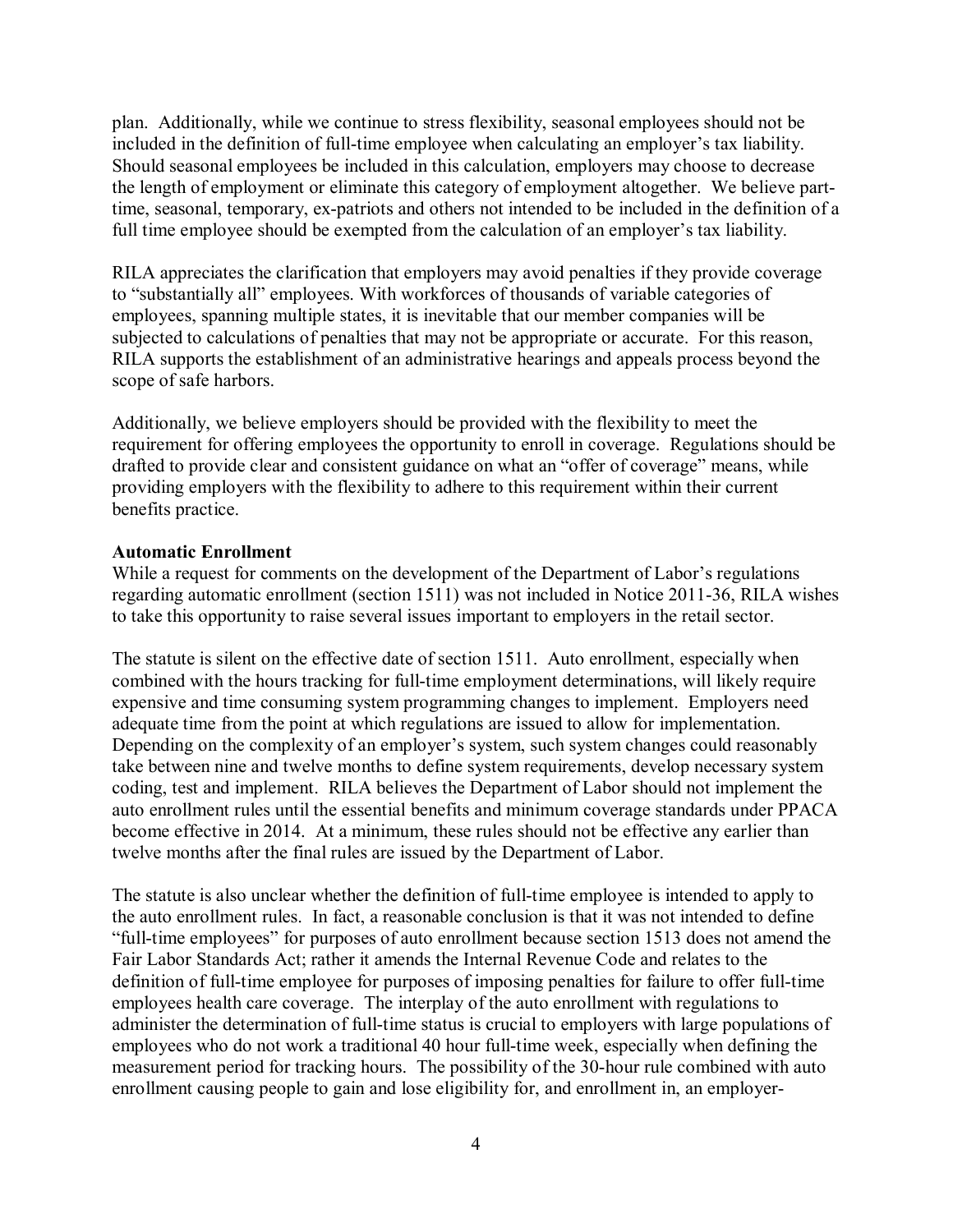plan. Additionally, while we continue to stress flexibility, seasonal employees should not be included in the definition of full-time employee when calculating an employer's tax liability. Should seasonal employees be included in this calculation, employers may choose to decrease the length of employment or eliminate this category of employment altogether. We believe parttime, seasonal, temporary, ex-patriots and others not intended to be included in the definition of a full time employee should be exempted from the calculation of an employer's tax liability.

RILA appreciates the clarification that employers may avoid penalties if they provide coverage to "substantially all" employees. With workforces of thousands of variable categories of employees, spanning multiple states, it is inevitable that our member companies will be subjected to calculations of penalties that may not be appropriate or accurate. For this reason, RILA supports the establishment of an administrative hearings and appeals process beyond the scope of safe harbors.

Additionally, we believe employers should be provided with the flexibility to meet the requirement for offering employees the opportunity to enroll in coverage. Regulations should be drafted to provide clear and consistent guidance on what an "offer of coverage" means, while providing employers with the flexibility to adhere to this requirement within their current benefits practice.

## **Automatic Enrollment**

While a request for comments on the development of the Department of Labor's regulations regarding automatic enrollment (section 1511) was not included in Notice 2011-36, RILA wishes to take this opportunity to raise several issues important to employers in the retail sector.

The statute is silent on the effective date of section 1511. Auto enrollment, especially when combined with the hours tracking for full-time employment determinations, will likely require expensive and time consuming system programming changes to implement. Employers need adequate time from the point at which regulations are issued to allow for implementation. Depending on the complexity of an employer's system, such system changes could reasonably take between nine and twelve months to define system requirements, develop necessary system coding, test and implement. RILA believes the Department of Labor should not implement the auto enrollment rules until the essential benefits and minimum coverage standards under PPACA become effective in 2014. At a minimum, these rules should not be effective any earlier than twelve months after the final rules are issued by the Department of Labor.

The statute is also unclear whether the definition of full-time employee is intended to apply to the auto enrollment rules. In fact, a reasonable conclusion is that it was not intended to define "full-time employees" for purposes of auto enrollment because section 1513 does not amend the Fair Labor Standards Act; rather it amends the Internal Revenue Code and relates to the definition of full-time employee for purposes of imposing penalties for failure to offer full-time employees health care coverage. The interplay of the auto enrollment with regulations to administer the determination of full-time status is crucial to employers with large populations of employees who do not work a traditional 40 hour full-time week, especially when defining the measurement period for tracking hours. The possibility of the 30-hour rule combined with auto enrollment causing people to gain and lose eligibility for, and enrollment in, an employer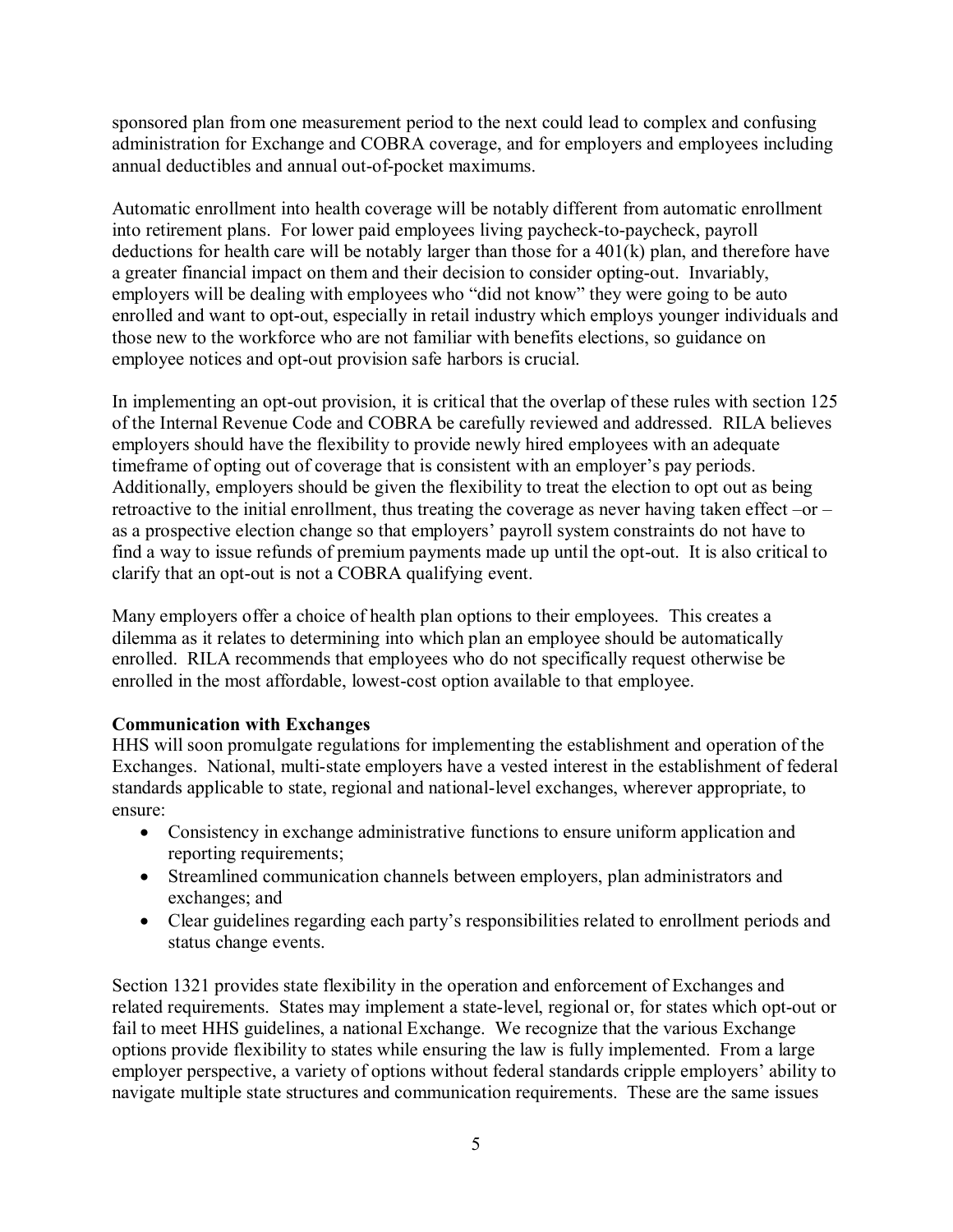sponsored plan from one measurement period to the next could lead to complex and confusing administration for Exchange and COBRA coverage, and for employers and employees including annual deductibles and annual out-of-pocket maximums.

Automatic enrollment into health coverage will be notably different from automatic enrollment into retirement plans. For lower paid employees living paycheck-to-paycheck, payroll deductions for health care will be notably larger than those for a 401(k) plan, and therefore have a greater financial impact on them and their decision to consider opting-out. Invariably, employers will be dealing with employees who "did not know" they were going to be auto enrolled and want to opt-out, especially in retail industry which employs younger individuals and those new to the workforce who are not familiar with benefits elections, so guidance on employee notices and opt-out provision safe harbors is crucial.

In implementing an opt-out provision, it is critical that the overlap of these rules with section 125 of the Internal Revenue Code and COBRA be carefully reviewed and addressed. RILA believes employers should have the flexibility to provide newly hired employees with an adequate timeframe of opting out of coverage that is consistent with an employer's pay periods. Additionally, employers should be given the flexibility to treat the election to opt out as being retroactive to the initial enrollment, thus treating the coverage as never having taken effect –or – as a prospective election change so that employers' payroll system constraints do not have to find a way to issue refunds of premium payments made up until the opt-out. It is also critical to clarify that an opt-out is not a COBRA qualifying event.

Many employers offer a choice of health plan options to their employees. This creates a dilemma as it relates to determining into which plan an employee should be automatically enrolled. RILA recommends that employees who do not specifically request otherwise be enrolled in the most affordable, lowest-cost option available to that employee.

# **Communication with Exchanges**

HHS will soon promulgate regulations for implementing the establishment and operation of the Exchanges. National, multi-state employers have a vested interest in the establishment of federal standards applicable to state, regional and national-level exchanges, wherever appropriate, to ensure:

- Consistency in exchange administrative functions to ensure uniform application and reporting requirements;
- Streamlined communication channels between employers, plan administrators and exchanges; and
- Clear guidelines regarding each party's responsibilities related to enrollment periods and status change events.

Section 1321 provides state flexibility in the operation and enforcement of Exchanges and related requirements. States may implement a state-level, regional or, for states which opt-out or fail to meet HHS guidelines, a national Exchange. We recognize that the various Exchange options provide flexibility to states while ensuring the law is fully implemented. From a large employer perspective, a variety of options without federal standards cripple employers' ability to navigate multiple state structures and communication requirements. These are the same issues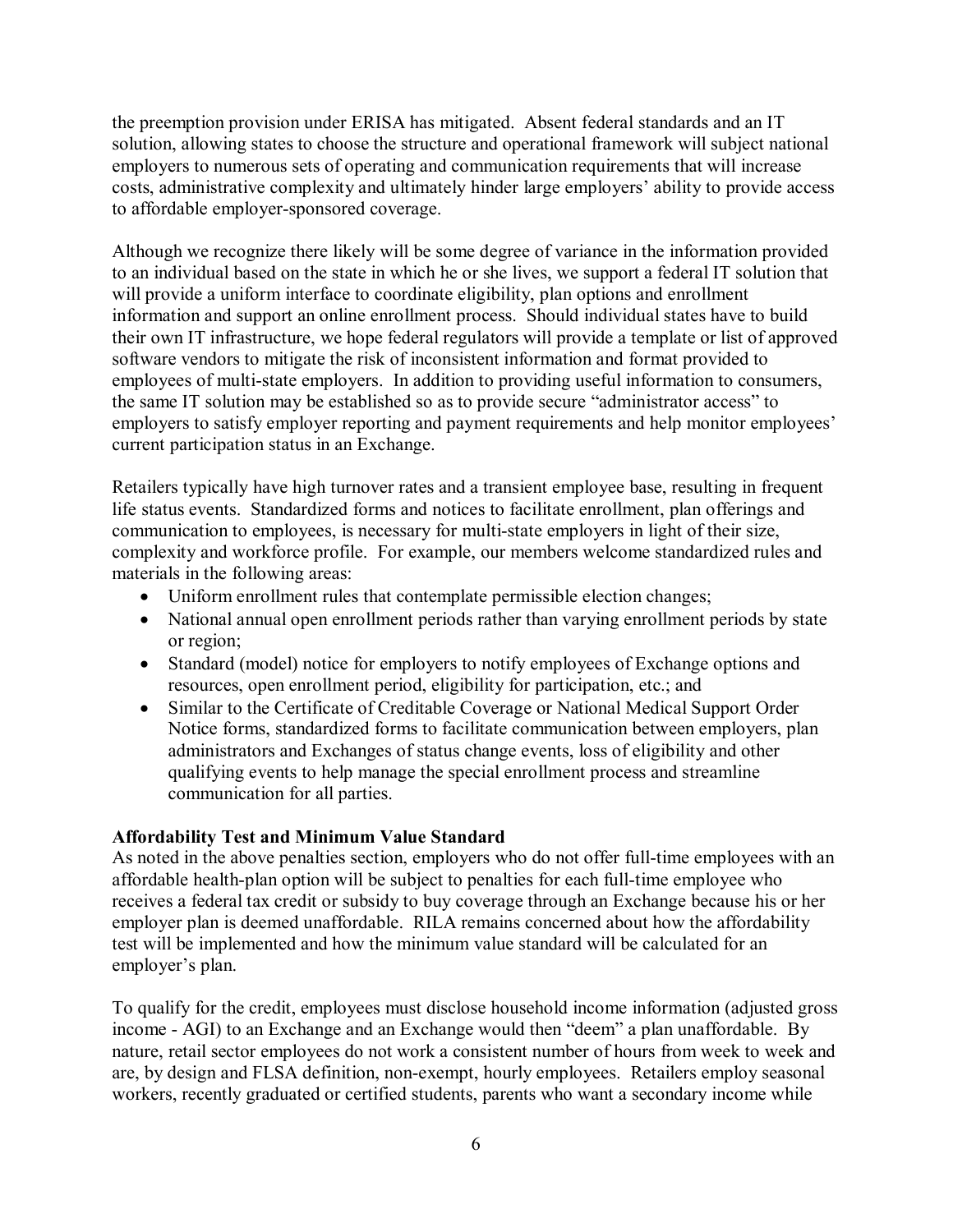the preemption provision under ERISA has mitigated. Absent federal standards and an IT solution, allowing states to choose the structure and operational framework will subject national employers to numerous sets of operating and communication requirements that will increase costs, administrative complexity and ultimately hinder large employers' ability to provide access to affordable employer-sponsored coverage.

Although we recognize there likely will be some degree of variance in the information provided to an individual based on the state in which he or she lives, we support a federal IT solution that will provide a uniform interface to coordinate eligibility, plan options and enrollment information and support an online enrollment process. Should individual states have to build their own IT infrastructure, we hope federal regulators will provide a template or list of approved software vendors to mitigate the risk of inconsistent information and format provided to employees of multi-state employers. In addition to providing useful information to consumers, the same IT solution may be established so as to provide secure "administrator access" to employers to satisfy employer reporting and payment requirements and help monitor employees' current participation status in an Exchange.

Retailers typically have high turnover rates and a transient employee base, resulting in frequent life status events. Standardized forms and notices to facilitate enrollment, plan offerings and communication to employees, is necessary for multi-state employers in light of their size, complexity and workforce profile. For example, our members welcome standardized rules and materials in the following areas:

- Uniform enrollment rules that contemplate permissible election changes;
- National annual open enrollment periods rather than varying enrollment periods by state or region;
- Standard (model) notice for employers to notify employees of Exchange options and resources, open enrollment period, eligibility for participation, etc.; and
- Similar to the Certificate of Creditable Coverage or National Medical Support Order Notice forms, standardized forms to facilitate communication between employers, plan administrators and Exchanges of status change events, loss of eligibility and other qualifying events to help manage the special enrollment process and streamline communication for all parties.

## **Affordability Test and Minimum Value Standard**

As noted in the above penalties section, employers who do not offer full-time employees with an affordable health-plan option will be subject to penalties for each full-time employee who receives a federal tax credit or subsidy to buy coverage through an Exchange because his or her employer plan is deemed unaffordable. RILA remains concerned about how the affordability test will be implemented and how the minimum value standard will be calculated for an employer's plan.

To qualify for the credit, employees must disclose household income information (adjusted gross income - AGI) to an Exchange and an Exchange would then "deem" a plan unaffordable. By nature, retail sector employees do not work a consistent number of hours from week to week and are, by design and FLSA definition, non-exempt, hourly employees. Retailers employ seasonal workers, recently graduated or certified students, parents who want a secondary income while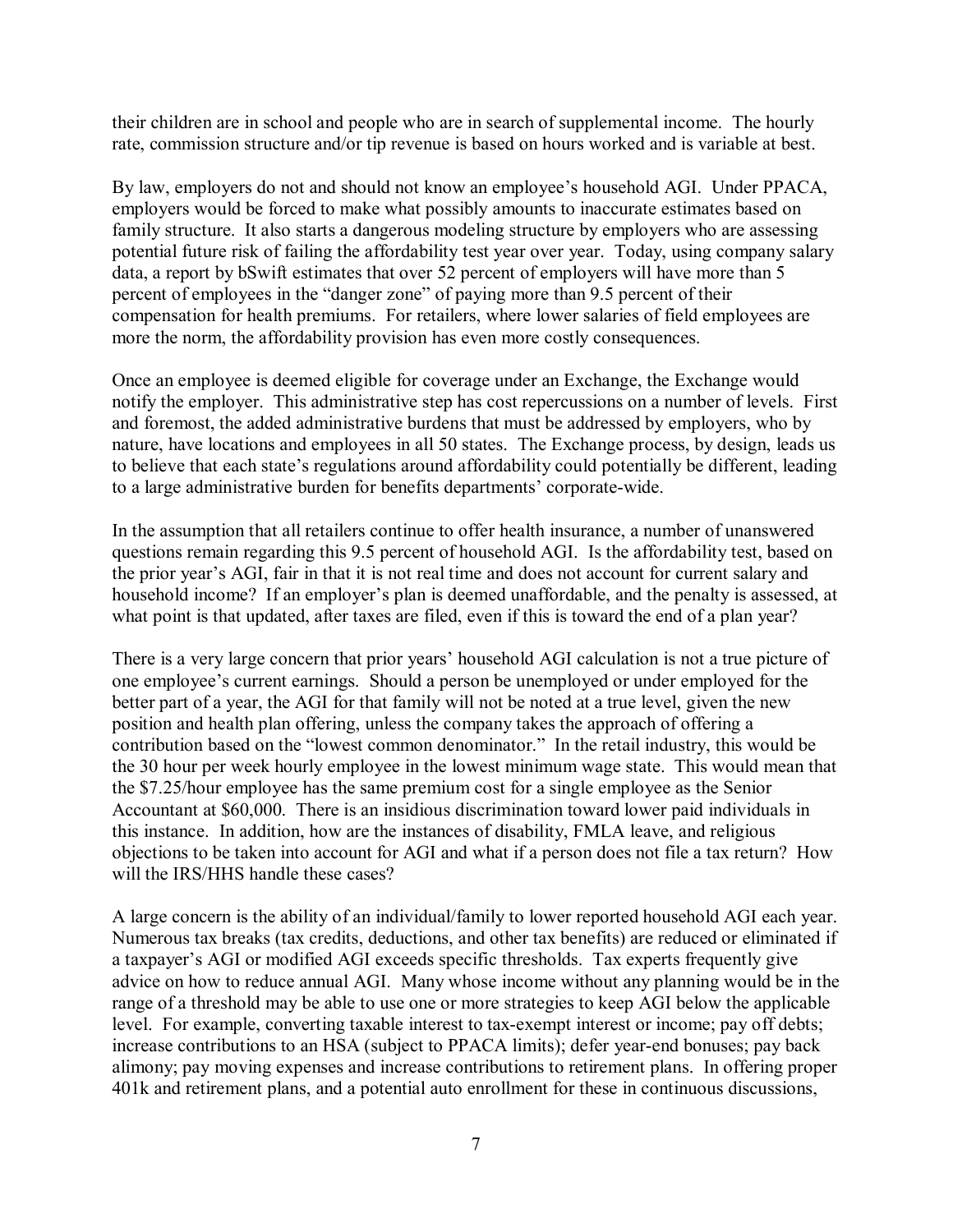their children are in school and people who are in search of supplemental income. The hourly rate, commission structure and/or tip revenue is based on hours worked and is variable at best.

By law, employers do not and should not know an employee's household AGI. Under PPACA, employers would be forced to make what possibly amounts to inaccurate estimates based on family structure. It also starts a dangerous modeling structure by employers who are assessing potential future risk of failing the affordability test year over year. Today, using company salary data, a report by bSwift estimates that over 52 percent of employers will have more than 5 percent of employees in the "danger zone" of paying more than 9.5 percent of their compensation for health premiums. For retailers, where lower salaries of field employees are more the norm, the affordability provision has even more costly consequences.

Once an employee is deemed eligible for coverage under an Exchange, the Exchange would notify the employer. This administrative step has cost repercussions on a number of levels. First and foremost, the added administrative burdens that must be addressed by employers, who by nature, have locations and employees in all 50 states. The Exchange process, by design, leads us to believe that each state's regulations around affordability could potentially be different, leading to a large administrative burden for benefits departments' corporate-wide.

In the assumption that all retailers continue to offer health insurance, a number of unanswered questions remain regarding this 9.5 percent of household AGI. Is the affordability test, based on the prior year's AGI, fair in that it is not real time and does not account for current salary and household income? If an employer's plan is deemed unaffordable, and the penalty is assessed, at what point is that updated, after taxes are filed, even if this is toward the end of a plan year?

There is a very large concern that prior years' household AGI calculation is not a true picture of one employee's current earnings. Should a person be unemployed or under employed for the better part of a year, the AGI for that family will not be noted at a true level, given the new position and health plan offering, unless the company takes the approach of offering a contribution based on the "lowest common denominator." In the retail industry, this would be the 30 hour per week hourly employee in the lowest minimum wage state. This would mean that the \$7.25/hour employee has the same premium cost for a single employee as the Senior Accountant at \$60,000. There is an insidious discrimination toward lower paid individuals in this instance. In addition, how are the instances of disability, FMLA leave, and religious objections to be taken into account for AGI and what if a person does not file a tax return? How will the IRS/HHS handle these cases?

A large concern is the ability of an individual/family to lower reported household AGI each year. Numerous tax breaks (tax credits, deductions, and other tax benefits) are reduced or eliminated if a taxpayer's AGI or modified AGI exceeds specific thresholds. Tax experts frequently give advice on how to reduce annual AGI. Many whose income without any planning would be in the range of a threshold may be able to use one or more strategies to keep AGI below the applicable level. For example, converting taxable interest to tax-exempt interest or income; pay off debts; increase contributions to an HSA (subject to PPACA limits); defer year-end bonuses; pay back alimony; pay moving expenses and increase contributions to retirement plans. In offering proper 401k and retirement plans, and a potential auto enrollment for these in continuous discussions,